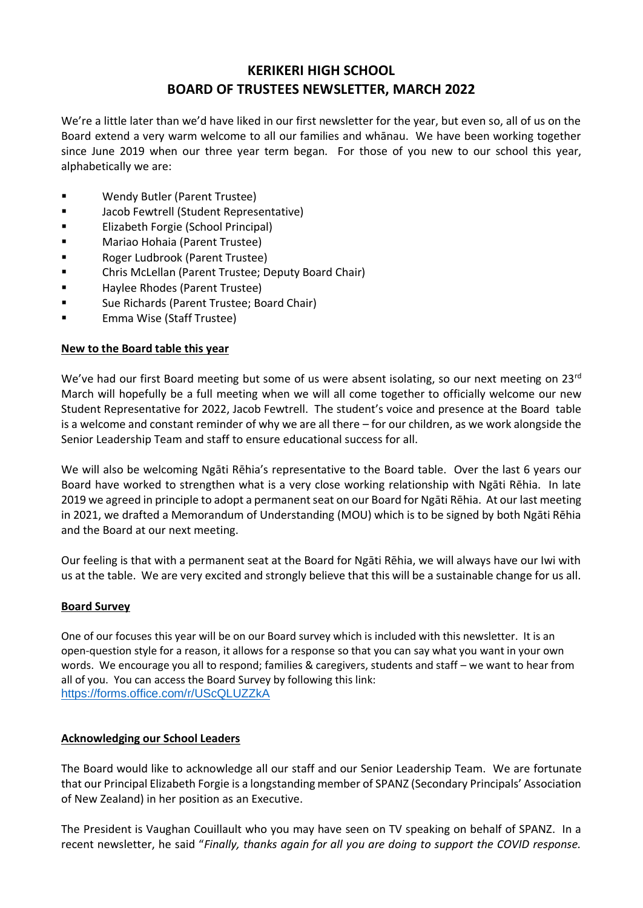# **KERIKERI HIGH SCHOOL BOARD OF TRUSTEES NEWSLETTER, MARCH 2022**

We're a little later than we'd have liked in our first newsletter for the year, but even so, all of us on the Board extend a very warm welcome to all our families and whānau. We have been working together since June 2019 when our three year term began. For those of you new to our school this year, alphabetically we are:

- Wendy Butler (Parent Trustee)
- Jacob Fewtrell (Student Representative)
- Elizabeth Forgie (School Principal)
- Mariao Hohaia (Parent Trustee)
- Roger Ludbrook (Parent Trustee)
- Chris McLellan (Parent Trustee; Deputy Board Chair)
- Haylee Rhodes (Parent Trustee)
- Sue Richards (Parent Trustee; Board Chair)
- **Emma Wise (Staff Trustee)**

### **New to the Board table this year**

We've had our first Board meeting but some of us were absent isolating, so our next meeting on 23rd March will hopefully be a full meeting when we will all come together to officially welcome our new Student Representative for 2022, Jacob Fewtrell. The student's voice and presence at the Board table is a welcome and constant reminder of why we are all there – for our children, as we work alongside the Senior Leadership Team and staff to ensure educational success for all.

We will also be welcoming Ngāti Rēhia's representative to the Board table. Over the last 6 years our Board have worked to strengthen what is a very close working relationship with Ngāti Rēhia. In late 2019 we agreed in principle to adopt a permanent seat on our Board for Ngāti Rēhia. At our last meeting in 2021, we drafted a Memorandum of Understanding (MOU) which is to be signed by both Ngāti Rēhia and the Board at our next meeting.

Our feeling is that with a permanent seat at the Board for Ngāti Rēhia, we will always have our Iwi with us at the table. We are very excited and strongly believe that this will be a sustainable change for us all.

### **Board Survey**

One of our focuses this year will be on our Board survey which is included with this newsletter. It is an open-question style for a reason, it allows for a response so that you can say what you want in your own words. We encourage you all to respond; families & caregivers, students and staff – we want to hear from all of you. You can access the Board Survey by following this link: <https://forms.office.com/r/UScQLUZZkA>

### **Acknowledging our School Leaders**

The Board would like to acknowledge all our staff and our Senior Leadership Team. We are fortunate that our Principal Elizabeth Forgie is a longstanding member of SPANZ (Secondary Principals' Association of New Zealand) in her position as an Executive.

The President is Vaughan Couillault who you may have seen on TV speaking on behalf of SPANZ. In a recent newsletter, he said "*Finally, thanks again for all you are doing to support the COVID response.*